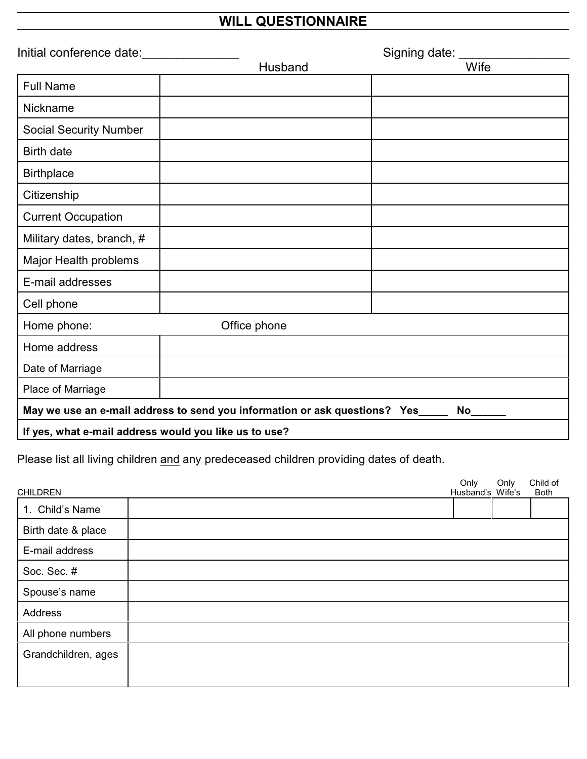## **WILL QUESTIONNAIRE**

| Initial conference date:                                                       | Signing date: |      |
|--------------------------------------------------------------------------------|---------------|------|
|                                                                                | Husband       | Wife |
| <b>Full Name</b>                                                               |               |      |
| Nickname                                                                       |               |      |
| <b>Social Security Number</b>                                                  |               |      |
| <b>Birth date</b>                                                              |               |      |
| <b>Birthplace</b>                                                              |               |      |
| Citizenship                                                                    |               |      |
| <b>Current Occupation</b>                                                      |               |      |
| Military dates, branch, #                                                      |               |      |
| Major Health problems                                                          |               |      |
| E-mail addresses                                                               |               |      |
| Cell phone                                                                     |               |      |
| Home phone:                                                                    | Office phone  |      |
| Home address                                                                   |               |      |
| Date of Marriage                                                               |               |      |
| Place of Marriage                                                              |               |      |
| May we use an e-mail address to send you information or ask questions? Yes____ |               | No   |
| If yes, what e-mail address would you like us to use?                          |               |      |

Please list all living children and any predeceased children providing dates of death.

| <b>CHILDREN</b>     | Only<br>Husband's Wife's | Only | Child of<br>Both |
|---------------------|--------------------------|------|------------------|
| 1. Child's Name     |                          |      |                  |
| Birth date & place  |                          |      |                  |
| E-mail address      |                          |      |                  |
| Soc. Sec. #         |                          |      |                  |
| Spouse's name       |                          |      |                  |
| Address             |                          |      |                  |
| All phone numbers   |                          |      |                  |
| Grandchildren, ages |                          |      |                  |
|                     |                          |      |                  |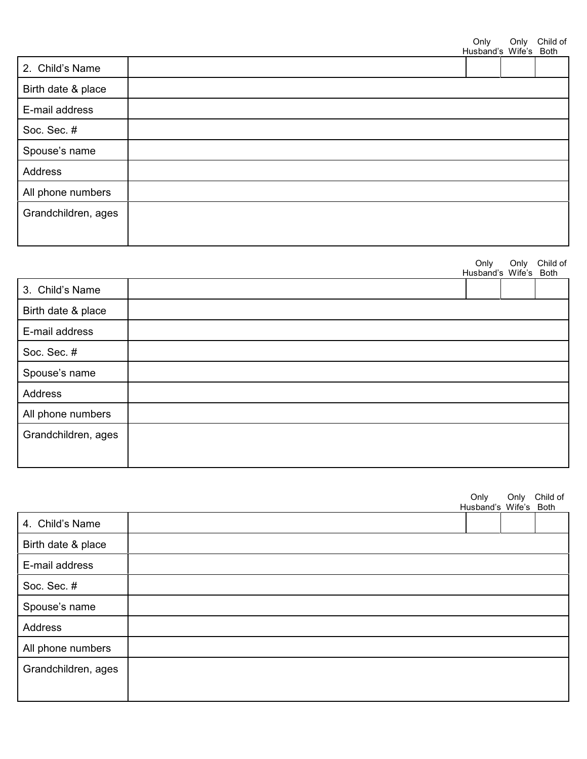|                     | Only | Only<br>Husband's Wife's Both | Child of |
|---------------------|------|-------------------------------|----------|
| 2. Child's Name     |      |                               |          |
| Birth date & place  |      |                               |          |
| E-mail address      |      |                               |          |
| Soc. Sec. #         |      |                               |          |
| Spouse's name       |      |                               |          |
| Address             |      |                               |          |
| All phone numbers   |      |                               |          |
| Grandchildren, ages |      |                               |          |

|                     | Only                  | Only | Child of |
|---------------------|-----------------------|------|----------|
|                     | Husband's Wife's Both |      |          |
| 3. Child's Name     |                       |      |          |
| Birth date & place  |                       |      |          |
| E-mail address      |                       |      |          |
| Soc. Sec. #         |                       |      |          |
| Spouse's name       |                       |      |          |
| Address             |                       |      |          |
| All phone numbers   |                       |      |          |
| Grandchildren, ages |                       |      |          |
|                     |                       |      |          |

|                     | Only | Only<br>Husband's Wife's Both | Child of |
|---------------------|------|-------------------------------|----------|
| 4. Child's Name     |      |                               |          |
| Birth date & place  |      |                               |          |
| E-mail address      |      |                               |          |
| Soc. Sec. #         |      |                               |          |
| Spouse's name       |      |                               |          |
| Address             |      |                               |          |
| All phone numbers   |      |                               |          |
| Grandchildren, ages |      |                               |          |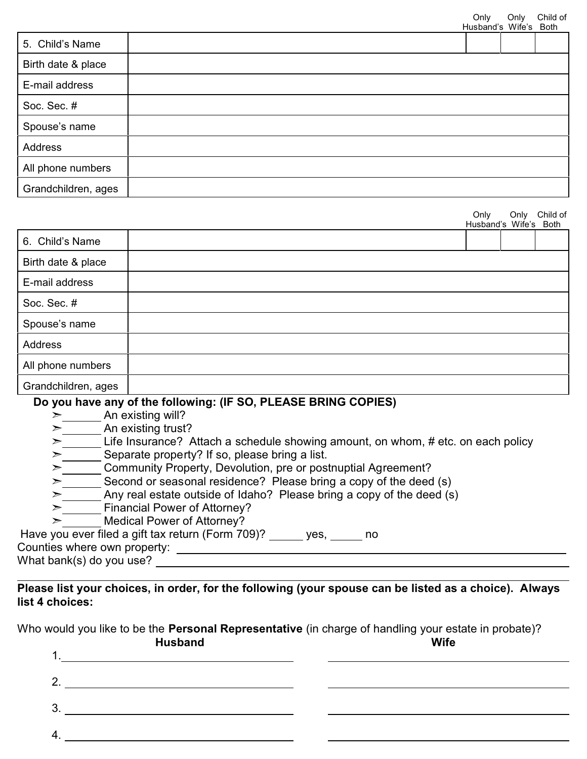|                     |  | Husband's Wife's Both |  |
|---------------------|--|-----------------------|--|
| 5. Child's Name     |  |                       |  |
| Birth date & place  |  |                       |  |
| E-mail address      |  |                       |  |
| Soc. Sec. #         |  |                       |  |
| Spouse's name       |  |                       |  |
| Address             |  |                       |  |
| All phone numbers   |  |                       |  |
| Grandchildren, ages |  |                       |  |

|                     | Only<br>Husband's Wife's Both | Only | Child of |
|---------------------|-------------------------------|------|----------|
| 6. Child's Name     |                               |      |          |
| Birth date & place  |                               |      |          |
| E-mail address      |                               |      |          |
| Soc. Sec. #         |                               |      |          |
| Spouse's name       |                               |      |          |
| Address             |                               |      |          |
| All phone numbers   |                               |      |          |
| Grandchildren, ages |                               |      |          |

## **Do you have any of the following: (IF SO, PLEASE BRING COPIES)**

- $\geq$  An existing will?
- $\geq$  An existing trust?
- Life Insurance? Attach a schedule showing amount, on whom, # etc. on each policy
- $\geq$   $\frac{1}{\sqrt{2\pi}}$  Separate property? If so, please bring a list.
- & Community Property, Devolution, pre or postnuptial Agreement?
- Second or seasonal residence? Please bring a copy of the deed (s)
- > Any real estate outside of Idaho? Please bring a copy of the deed (s)
- $\triangleright$   $\overline{\phantom{a}}$  Financial Power of Attorney?
- $\triangleright$  Medical Power of Attorney?

Have you ever filed a gift tax return (Form 709)? yes, no

Counties where own property:

What bank(s) do you use?

## **Please list your choices, in order, for the following (your spouse can be listed as a choice). Always list 4 choices:**

Who would you like to be the **Personal Representative** (in charge of handling your estate in probate)? **Husband Wife**

|     | . |
|-----|---|
| . . |   |
| 2.  |   |
| 3.  |   |
| 4.  |   |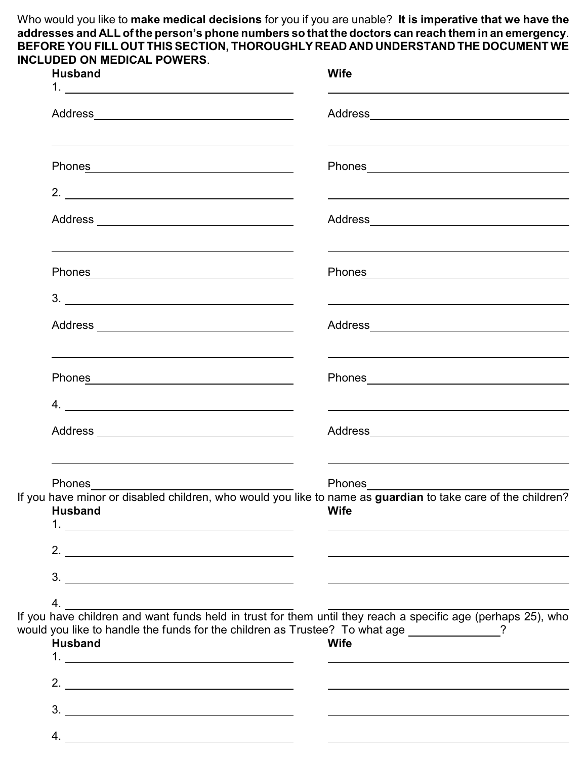Who would you like to **make medical decisions** for you if you are unable? **It is imperative that we have the addresses and ALL of the person's phone numbers so that the doctors can reach them in an emergency**. **BEFORE YOU FILL OUT THIS SECTION, THOROUGHLY READ AND UNDERSTAND THE DOCUMENT WE INCLUDED ON MEDICAL POWERS**.

| <b>Husband</b>                                                                                                                                                                                                                                                                               | <b>Wife</b>                                                                                                                                                                                                                    |
|----------------------------------------------------------------------------------------------------------------------------------------------------------------------------------------------------------------------------------------------------------------------------------------------|--------------------------------------------------------------------------------------------------------------------------------------------------------------------------------------------------------------------------------|
|                                                                                                                                                                                                                                                                                              |                                                                                                                                                                                                                                |
| <u> 1989 - Johann Stoff, amerikansk politiker (* 1908)</u><br>Phones Phone Phone Phone Phone Phone Phone Phone Phone Phone Phone Phone Phone Phone Phone Phone Phone Phone Phone Phone Phone Phone Phone Phone Phone Phone Phone Phone Phone Phone Phone Phone Phone Phone Phone Phone Phone | <u> 1989 - Johann Stein, marwolaethau a bhann an t-Amhain ann an t-Amhain an t-Amhain an t-Amhain an t-Amhain an </u>                                                                                                          |
| 2. $\overline{\phantom{a}}$                                                                                                                                                                                                                                                                  | <u> 1990 - Johann Stoff, amerikansk politiker (d. 1980)</u>                                                                                                                                                                    |
|                                                                                                                                                                                                                                                                                              |                                                                                                                                                                                                                                |
| Phones <b>Exercise Service Service Service Service Service Service Service Service Service Service Service Service Service Service Service Service Service Service Service Service Service Service Service Service Service Servi</b>                                                         | Phones Phone Phone Phone Phone Phone Phone Phone Phone Phone Phone Phone Phone Phone Phone Phone Phone Phone Phone Phone Phone Phone Phone Phone Phone Phone Phone Phone Phone Phone Phone Phone Phone Phone Phone Phone Phone |
| $\begin{array}{c}\n3.\n\end{array}$                                                                                                                                                                                                                                                          | the control of the control of the control of the control of the control of the control of the control of the control of the control of the control of the control of the control of the control of the control of the control  |
|                                                                                                                                                                                                                                                                                              |                                                                                                                                                                                                                                |
| Phones <b>Example 20</b> Phones <b>CONSUMERS</b>                                                                                                                                                                                                                                             |                                                                                                                                                                                                                                |
| $4. \_$                                                                                                                                                                                                                                                                                      | <u> 1999 - Johann Stoff, deutscher Stoff, der Stoff, der Stoff, der Stoff, der Stoff, der Stoff, der Stoff, der S</u>                                                                                                          |
|                                                                                                                                                                                                                                                                                              |                                                                                                                                                                                                                                |
| Phones________                                                                                                                                                                                                                                                                               | Phones                                                                                                                                                                                                                         |
| <b>Husband</b>                                                                                                                                                                                                                                                                               | <b>Wife</b>                                                                                                                                                                                                                    |
| 2. $\overline{\phantom{a}}$                                                                                                                                                                                                                                                                  | <u> 1980 - Johann Barnett, fransk politik (</u> † 1900)                                                                                                                                                                        |
| $\frac{3}{2}$                                                                                                                                                                                                                                                                                |                                                                                                                                                                                                                                |
| 4.                                                                                                                                                                                                                                                                                           |                                                                                                                                                                                                                                |
| If you have children and want funds held in trust for them until they reach a specific age (perhaps 25), who<br>would you like to handle the funds for the children as Trustee? To what age ____________?<br><b>Husband</b>                                                                  | <b>Wife</b>                                                                                                                                                                                                                    |
| 2. $\overline{\phantom{a}}$                                                                                                                                                                                                                                                                  | <u> 1980 - Johann Barn, fransk politik (d. 1980)</u>                                                                                                                                                                           |
|                                                                                                                                                                                                                                                                                              |                                                                                                                                                                                                                                |
|                                                                                                                                                                                                                                                                                              |                                                                                                                                                                                                                                |
|                                                                                                                                                                                                                                                                                              |                                                                                                                                                                                                                                |